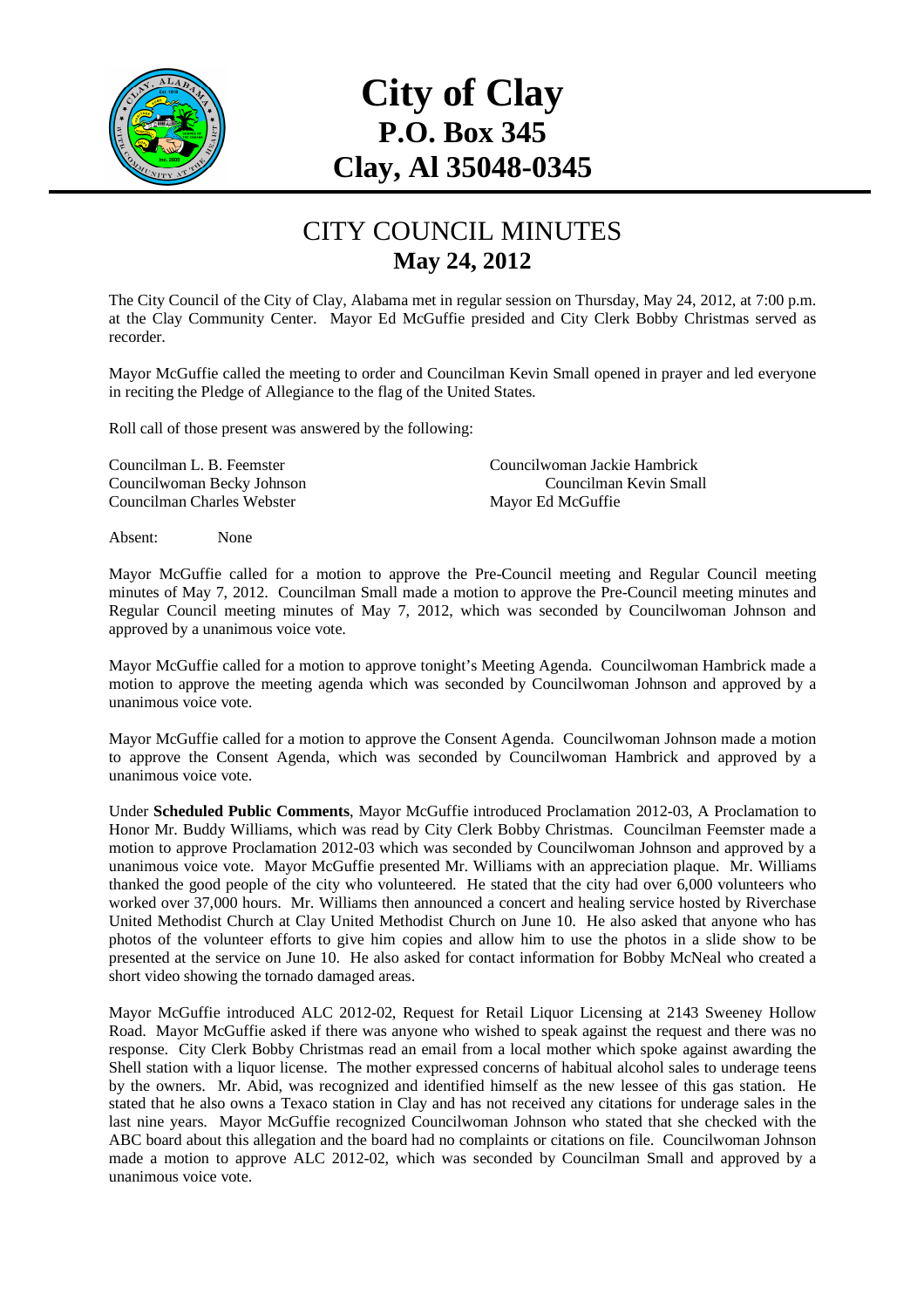

## **City of Clay P.O. Box 345 Clay, Al 35048-0345**

## CITY COUNCIL MINUTES **May 24, 2012**

The City Council of the City of Clay, Alabama met in regular session on Thursday, May 24, 2012, at 7:00 p.m. at the Clay Community Center. Mayor Ed McGuffie presided and City Clerk Bobby Christmas served as recorder.

Mayor McGuffie called the meeting to order and Councilman Kevin Small opened in prayer and led everyone in reciting the Pledge of Allegiance to the flag of the United States.

Roll call of those present was answered by the following:

Councilman Charles Webster Mayor Ed McGuffie

Councilman L. B. Feemster Councilwoman Jackie Hambrick Councilwoman Becky Johnson Councilman Kevin Small

Absent: None

Mayor McGuffie called for a motion to approve the Pre-Council meeting and Regular Council meeting minutes of May 7, 2012. Councilman Small made a motion to approve the Pre-Council meeting minutes and Regular Council meeting minutes of May 7, 2012, which was seconded by Councilwoman Johnson and approved by a unanimous voice vote.

Mayor McGuffie called for a motion to approve tonight's Meeting Agenda. Councilwoman Hambrick made a motion to approve the meeting agenda which was seconded by Councilwoman Johnson and approved by a unanimous voice vote.

Mayor McGuffie called for a motion to approve the Consent Agenda. Councilwoman Johnson made a motion to approve the Consent Agenda, which was seconded by Councilwoman Hambrick and approved by a unanimous voice vote.

Under **Scheduled Public Comments**, Mayor McGuffie introduced Proclamation 2012-03, A Proclamation to Honor Mr. Buddy Williams, which was read by City Clerk Bobby Christmas. Councilman Feemster made a motion to approve Proclamation 2012-03 which was seconded by Councilwoman Johnson and approved by a unanimous voice vote. Mayor McGuffie presented Mr. Williams with an appreciation plaque. Mr. Williams thanked the good people of the city who volunteered. He stated that the city had over 6,000 volunteers who worked over 37,000 hours. Mr. Williams then announced a concert and healing service hosted by Riverchase United Methodist Church at Clay United Methodist Church on June 10. He also asked that anyone who has photos of the volunteer efforts to give him copies and allow him to use the photos in a slide show to be presented at the service on June 10. He also asked for contact information for Bobby McNeal who created a short video showing the tornado damaged areas.

Mayor McGuffie introduced ALC 2012-02, Request for Retail Liquor Licensing at 2143 Sweeney Hollow Road. Mayor McGuffie asked if there was anyone who wished to speak against the request and there was no response. City Clerk Bobby Christmas read an email from a local mother which spoke against awarding the Shell station with a liquor license. The mother expressed concerns of habitual alcohol sales to underage teens by the owners. Mr. Abid, was recognized and identified himself as the new lessee of this gas station. He stated that he also owns a Texaco station in Clay and has not received any citations for underage sales in the last nine years. Mayor McGuffie recognized Councilwoman Johnson who stated that she checked with the ABC board about this allegation and the board had no complaints or citations on file. Councilwoman Johnson made a motion to approve ALC 2012-02, which was seconded by Councilman Small and approved by a unanimous voice vote.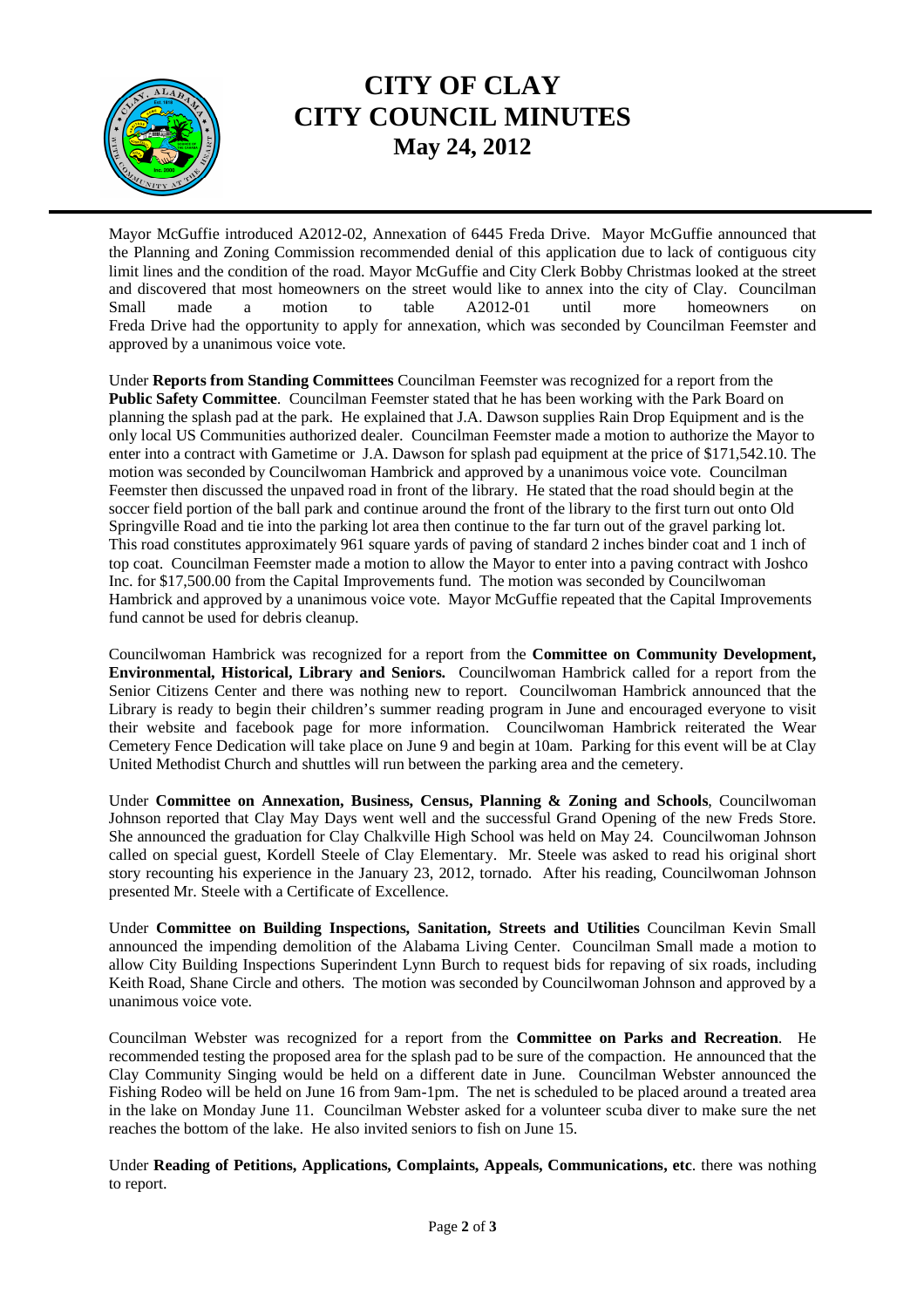

## **CITY OF CLAY CITY COUNCIL MINUTES May 24, 2012**

Mayor McGuffie introduced A2012-02, Annexation of 6445 Freda Drive. Mayor McGuffie announced that the Planning and Zoning Commission recommended denial of this application due to lack of contiguous city limit lines and the condition of the road. Mayor McGuffie and City Clerk Bobby Christmas looked at the street and discovered that most homeowners on the street would like to annex into the city of Clay. Councilman Small made a motion to table A2012-01 until more homeowners on Freda Drive had the opportunity to apply for annexation, which was seconded by Councilman Feemster and approved by a unanimous voice vote.

Under **Reports from Standing Committees** Councilman Feemster was recognized for a report from the Public Safety Committee. Councilman Feemster stated that he has been working with the Park Board on planning the splash pad at the park. He explained that J.A. Dawson supplies Rain Drop Equipment and is the only local US Communities authorized dealer. Councilman Feemster made a motion to authorize the Mayor to enter into a contract with Gametime or J.A. Dawson for splash pad equipment at the price of \$171,542.10. The motion was seconded by Councilwoman Hambrick and approved by a unanimous voice vote. Councilman Feemster then discussed the unpaved road in front of the library. He stated that the road should begin at the soccer field portion of the ball park and continue around the front of the library to the first turn out onto Old Springville Road and tie into the parking lot area then continue to the far turn out of the gravel parking lot. This road constitutes approximately 961 square yards of paving of standard 2 inches binder coat and 1 inch of top coat. Councilman Feemster made a motion to allow the Mayor to enter into a paving contract with Joshco Inc. for \$17,500.00 from the Capital Improvements fund. The motion was seconded by Councilwoman Hambrick and approved by a unanimous voice vote. Mayor McGuffie repeated that the Capital Improvements fund cannot be used for debris cleanup.

Councilwoman Hambrick was recognized for a report from the **Committee on Community Development, Environmental, Historical, Library and Seniors.** Councilwoman Hambrick called for a report from the Senior Citizens Center and there was nothing new to report. Councilwoman Hambrick announced that the Library is ready to begin their children's summer reading program in June and encouraged everyone to visit their website and facebook page for more information. Councilwoman Hambrick reiterated the Wear Cemetery Fence Dedication will take place on June 9 and begin at 10am. Parking for this event will be at Clay United Methodist Church and shuttles will run between the parking area and the cemetery.

Under **Committee on Annexation, Business, Census, Planning & Zoning and Schools**, Councilwoman Johnson reported that Clay May Days went well and the successful Grand Opening of the new Freds Store. She announced the graduation for Clay Chalkville High School was held on May 24. Councilwoman Johnson called on special guest, Kordell Steele of Clay Elementary. Mr. Steele was asked to read his original short story recounting his experience in the January 23, 2012, tornado. After his reading, Councilwoman Johnson presented Mr. Steele with a Certificate of Excellence.

Under **Committee on Building Inspections, Sanitation, Streets and Utilities** Councilman Kevin Small announced the impending demolition of the Alabama Living Center. Councilman Small made a motion to allow City Building Inspections Superindent Lynn Burch to request bids for repaving of six roads, including Keith Road, Shane Circle and others. The motion was seconded by Councilwoman Johnson and approved by a unanimous voice vote.

Councilman Webster was recognized for a report from the **Committee on Parks and Recreation**. He recommended testing the proposed area for the splash pad to be sure of the compaction. He announced that the Clay Community Singing would be held on a different date in June. Councilman Webster announced the Fishing Rodeo will be held on June 16 from 9am-1pm. The net is scheduled to be placed around a treated area in the lake on Monday June 11. Councilman Webster asked for a volunteer scuba diver to make sure the net reaches the bottom of the lake. He also invited seniors to fish on June 15.

Under **Reading of Petitions, Applications, Complaints, Appeals, Communications, etc**. there was nothing to report.